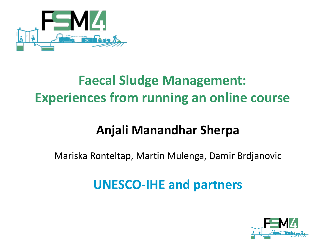

# **Faecal Sludge Management: Experiences from running an online course**

# **Anjali Manandhar Sherpa**

Mariska Ronteltap, Martin Mulenga, Damir Brdjanovic

# **UNESCO-IHE and partners**

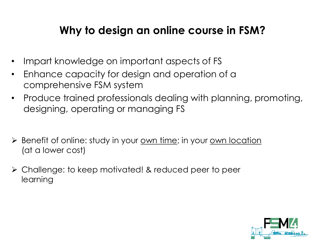### **Why to design an online course in FSM?**

- Impart knowledge on important aspects of FS
- Enhance capacity for design and operation of a comprehensive FSM system
- Produce trained professionals dealing with planning, promoting, designing, operating or managing FS
- ► Benefit of online: study in your <u>own time</u>; in your <u>own location</u> (at a lower cost)
- Challenge: to keep motivated! & reduced peer to peer learning

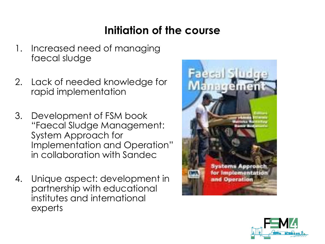## **Initiation of the course**

- 1. Increased need of managing faecal sludge
- 2. Lack of needed knowledge for rapid implementation
- 3. Development of FSM book "Faecal Sludge Management: System Approach for Implementation and Operation" in collaboration with Sandec
- 4. Unique aspect: development in partnership with educational institutes and international experts



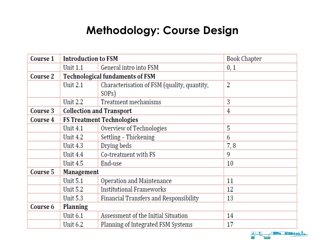### **Methodology: Course Design**

| Course 1        | <b>Introduction to FSM</b>       |                                                                   | <b>Book Chapter</b> |
|-----------------|----------------------------------|-------------------------------------------------------------------|---------------------|
|                 | Unit 1.1                         | General intro into FSM                                            | 0, 1                |
| <b>Course 2</b> |                                  | <b>Technological fundaments of FSM</b>                            |                     |
|                 | <b>Unit 2.1</b>                  | Characterisation of FSM (quality, quantity,<br>SOP <sub>s</sub> ) | 2                   |
|                 | <b>Unit 2.2</b>                  | Treatment mechanisms                                              | 3                   |
| Course 3        | <b>Collection and Transport</b>  |                                                                   | 4                   |
| Course 4        | <b>FS Treatment Technologies</b> |                                                                   |                     |
|                 | <b>Unit 4.1</b>                  | Overview of Technologies                                          | 5                   |
|                 | <b>Unit 4.2</b>                  | Settling - Thickening                                             | 6                   |
|                 | <b>Unit 4.3</b>                  | Drying beds                                                       | 7,8                 |
|                 | <b>Unit 4.4</b>                  | Co-treatment with FS                                              | 9                   |
|                 | <b>Unit 4.5</b>                  | End-use                                                           | 10                  |
| Course 5        | <b>Management</b>                |                                                                   |                     |
|                 | <b>Unit 5.1</b>                  | Operation and Maintenance                                         | 11                  |
|                 | <b>Unit 5.2</b>                  | <b>Institutional Frameworks</b>                                   | 12                  |
|                 | <b>Unit 5.3</b>                  | Financial Transfers and Responsibility                            | 13                  |
| Course 6        | <b>Planning</b>                  |                                                                   |                     |
|                 | <b>Unit 6.1</b>                  | Assessment of the Initial Situation                               | 14                  |
|                 | <b>Unit 6.2</b>                  | Planning of Integrated FSM Systems                                | 17                  |

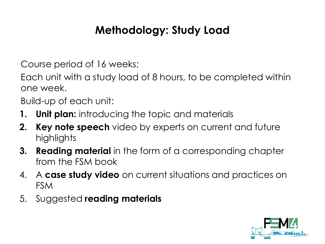## **Methodology: Study Load**

Course period of 16 weeks;

Each unit with a study load of 8 hours, to be completed within one week.

Build-up of each unit:

- **1. Unit plan:** introducing the topic and materials
- **2. Key note speech** video by experts on current and future highlights
- **3. Reading material** in the form of a corresponding chapter from the FSM book
- 4. A **case study video** on current situations and practices on FSM
- 5. Suggested **reading materials**

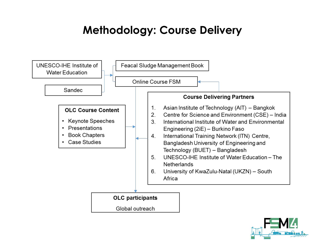#### **Methodology: Course Delivery**



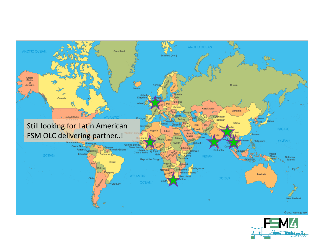

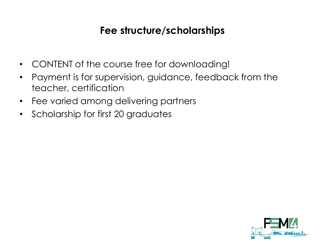#### **Fee structure/scholarships**

- CONTENT of the course free for downloading!
- Payment is for supervision, guidance, feedback from the teacher, certification
- Fee varied among delivering partners
- Scholarship for first 20 graduates

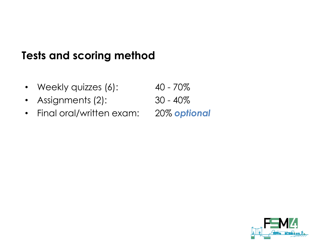#### **Tests and scoring method**

- Weekly quizzes (6): 40 70%
- Assignments (2): 30 40%
- Final oral/written exam: 20% *optional*

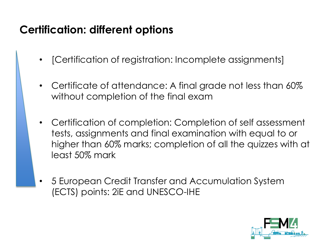### **Certification: different options**

- [Certification of registration: Incomplete assignments]
- Certificate of attendance: A final grade not less than 60% without completion of the final exam
- Certification of completion: Completion of self assessment tests, assignments and final examination with equal to or higher than 60% marks; completion of all the quizzes with at least 50% mark
- 5 European Credit Transfer and Accumulation System (ECTS) points: 2iE and UNESCO-IHE

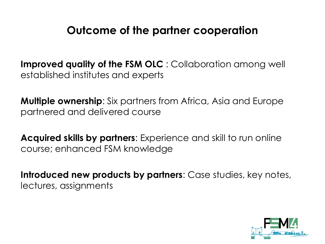#### **Outcome of the partner cooperation**

**Improved quality of the FSM OLC** : Collaboration among well established institutes and experts

**Multiple ownership**: Six partners from Africa, Asia and Europe partnered and delivered course

**Acquired skills by partners**: Experience and skill to run online course; enhanced FSM knowledge

**Introduced new products by partners**: Case studies, key notes, lectures, assignments

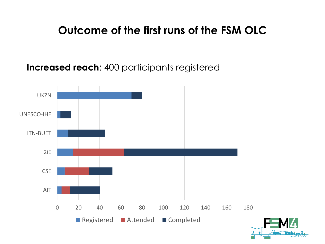#### **Outcome of the first runs of the FSM OLC**

**Increased reach**: 400 participants registered



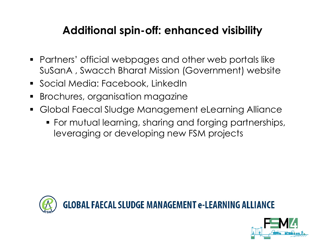## **Additional spin-off: enhanced visibility**

- Partners' official webpages and other web portals like SuSanA , Swacch Bharat Mission (Government) website
- Social Media: Facebook, LinkedIn
- Brochures, organisation magazine
- Global Faecal Sludge Management eLearning Alliance
	- For mutual learning, sharing and forging partnerships, leveraging or developing new FSM projects



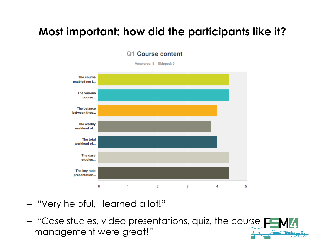## **Most important: how did the participants like it?**

Q1 Course content



- "Very helpful, I learned a lot!"
- "Case studies, video presentations, quiz, the course management were great!"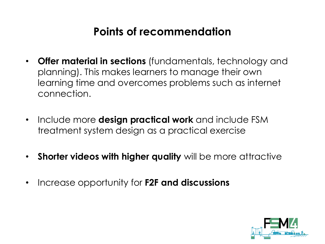### **Points of recommendation**

- **Offer material in sections** (fundamentals, technology and planning). This makes learners to manage their own learning time and overcomes problems such as internet connection.
- Include more **design practical work** and include FSM treatment system design as a practical exercise
- **Shorter videos with higher quality** will be more attractive
- Increase opportunity for **F2F and discussions**

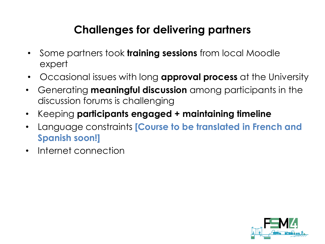## **Challenges for delivering partners**

- Some partners took **training sessions** from local Moodle expert
- Occasional issues with long **approval process** at the University
- Generating **meaningful discussion** among participants in the discussion forums is challenging
- Keeping **participants engaged + maintaining timeline**
- Language constraints **[Course to be translated in French and Spanish soon!]**
- Internet connection

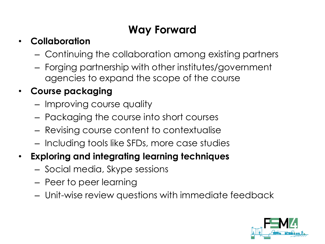## **Way Forward**

#### • **Collaboration**

- Continuing the collaboration among existing partners
- Forging partnership with other institutes/government agencies to expand the scope of the course

#### • **Course packaging**

- Improving course quality
- Packaging the course into short courses
- Revising course content to contextualise
- Including tools like SFDs, more case studies
- **Exploring and integrating learning techniques** 
	- Social media, Skype sessions
	- Peer to peer learning
	- Unit-wise review questions with immediate feedback

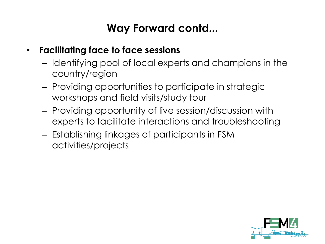### **Way Forward contd...**

- **Facilitating face to face sessions**
	- Identifying pool of local experts and champions in the country/region
	- Providing opportunities to participate in strategic workshops and field visits/study tour
	- Providing opportunity of live session/discussion with experts to facilitate interactions and troubleshooting
	- Establishing linkages of participants in FSM activities/projects